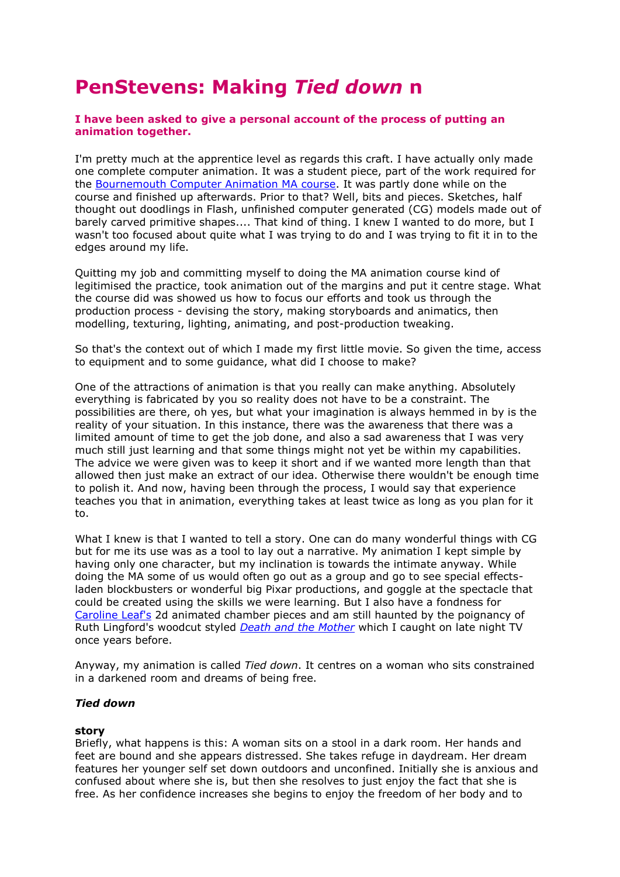# **PenStevens: Making** *Tied down* **n**

# **I have been asked to give a personal account of the process of putting an animation together.**

I'm pretty much at the apprentice level as regards this craft. I have actually only made one complete computer animation. It was a student piece, part of the work required for the [Bournemouth Computer Animation MA course.](http://ncca.bournemouth.ac.uk/) It was partly done while on the course and finished up afterwards. Prior to that? Well, bits and pieces. Sketches, half thought out doodlings in Flash, unfinished computer generated (CG) models made out of barely carved primitive shapes.... That kind of thing. I knew I wanted to do more, but I wasn't too focused about quite what I was trying to do and I was trying to fit it in to the edges around my life.

Quitting my job and committing myself to doing the MA animation course kind of legitimised the practice, took animation out of the margins and put it centre stage. What the course did was showed us how to focus our efforts and took us through the production process - devising the story, making storyboards and animatics, then modelling, texturing, lighting, animating, and post-production tweaking.

So that's the context out of which I made my first little movie. So given the time, access to equipment and to some guidance, what did I choose to make?

One of the attractions of animation is that you really can make anything. Absolutely everything is fabricated by you so reality does not have to be a constraint. The possibilities are there, oh yes, but what your imagination is always hemmed in by is the reality of your situation. In this instance, there was the awareness that there was a limited amount of time to get the job done, and also a sad awareness that I was very much still just learning and that some things might not yet be within my capabilities. The advice we were given was to keep it short and if we wanted more length than that allowed then just make an extract of our idea. Otherwise there wouldn't be enough time to polish it. And now, having been through the process, I would say that experience teaches you that in animation, everything takes at least twice as long as you plan for it to.

What I knew is that I wanted to tell a story. One can do many wonderful things with CG but for me its use was as a tool to lay out a narrative. My animation I kept simple by having only one character, but my inclination is towards the intimate anyway. While doing the MA some of us would often go out as a group and go to see special effectsladen blockbusters or wonderful big Pixar productions, and goggle at the spectacle that could be created using the skills we were learning. But I also have a fondness for [Caroline Leaf's](http://www.awn.com/leaf/) 2d animated chamber pieces and am still haunted by the poignancy of Ruth Lingford's woodcut styled *[Death and the Mother](http://www.rca.ac.uk/pages/research/ruth_lingford_76.html)* which I caught on late night TV once years before.

Anyway, my animation is called *Tied down*. It centres on a woman who sits constrained in a darkened room and dreams of being free.

# *Tied down*

# **story**

Briefly, what happens is this: A woman sits on a stool in a dark room. Her hands and feet are bound and she appears distressed. She takes refuge in daydream. Her dream features her younger self set down outdoors and unconfined. Initially she is anxious and confused about where she is, but then she resolves to just enjoy the fact that she is free. As her confidence increases she begins to enjoy the freedom of her body and to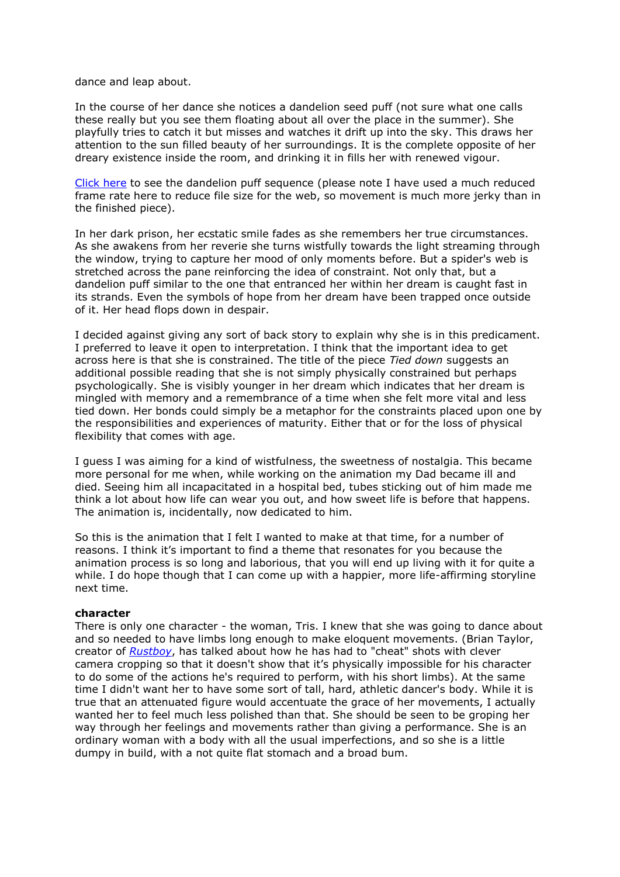dance and leap about.

In the course of her dance she notices a dandelion seed puff (not sure what one calls these really but you see them floating about all over the place in the summer). She playfully tries to catch it but misses and watches it drift up into the sky. This draws her attention to the sun filled beauty of her surroundings. It is the complete opposite of her dreary existence inside the room, and drinking it in fills her with renewed vigour.

[Click here](http://www2.brunel.ac.uk/about/acad/sa/artresearch/entertext/issues/entertext4_1/openWindowWish%28%27popup_wish.htm%27%29) to see the dandelion puff sequence (please note I have used a much reduced frame rate here to reduce file size for the web, so movement is much more jerky than in the finished piece).

In her dark prison, her ecstatic smile fades as she remembers her true circumstances. As she awakens from her reverie she turns wistfully towards the light streaming through the window, trying to capture her mood of only moments before. But a spider's web is stretched across the pane reinforcing the idea of constraint. Not only that, but a dandelion puff similar to the one that entranced her within her dream is caught fast in its strands. Even the symbols of hope from her dream have been trapped once outside of it. Her head flops down in despair.

I decided against giving any sort of back story to explain why she is in this predicament. I preferred to leave it open to interpretation. I think that the important idea to get across here is that she is constrained. The title of the piece *Tied down* suggests an additional possible reading that she is not simply physically constrained but perhaps psychologically. She is visibly younger in her dream which indicates that her dream is mingled with memory and a remembrance of a time when she felt more vital and less tied down. Her bonds could simply be a metaphor for the constraints placed upon one by the responsibilities and experiences of maturity. Either that or for the loss of physical flexibility that comes with age.

I guess I was aiming for a kind of wistfulness, the sweetness of nostalgia. This became more personal for me when, while working on the animation my Dad became ill and died. Seeing him all incapacitated in a hospital bed, tubes sticking out of him made me think a lot about how life can wear you out, and how sweet life is before that happens. The animation is, incidentally, now dedicated to him.

So this is the animation that I felt I wanted to make at that time, for a number of reasons. I think it's important to find a theme that resonates for you because the animation process is so long and laborious, that you will end up living with it for quite a while. I do hope though that I can come up with a happier, more life-affirming storyline next time.

# **character**

There is only one character - the woman, Tris. I knew that she was going to dance about and so needed to have limbs long enough to make eloquent movements. (Brian Taylor, creator of *[Rustboy](http://www.rustboy.com/)*, has talked about how he has had to "cheat" shots with clever camera cropping so that it doesn't show that it's physically impossible for his character to do some of the actions he's required to perform, with his short limbs). At the same time I didn't want her to have some sort of tall, hard, athletic dancer's body. While it is true that an attenuated figure would accentuate the grace of her movements, I actually wanted her to feel much less polished than that. She should be seen to be groping her way through her feelings and movements rather than giving a performance. She is an ordinary woman with a body with all the usual imperfections, and so she is a little dumpy in build, with a not quite flat stomach and a broad bum.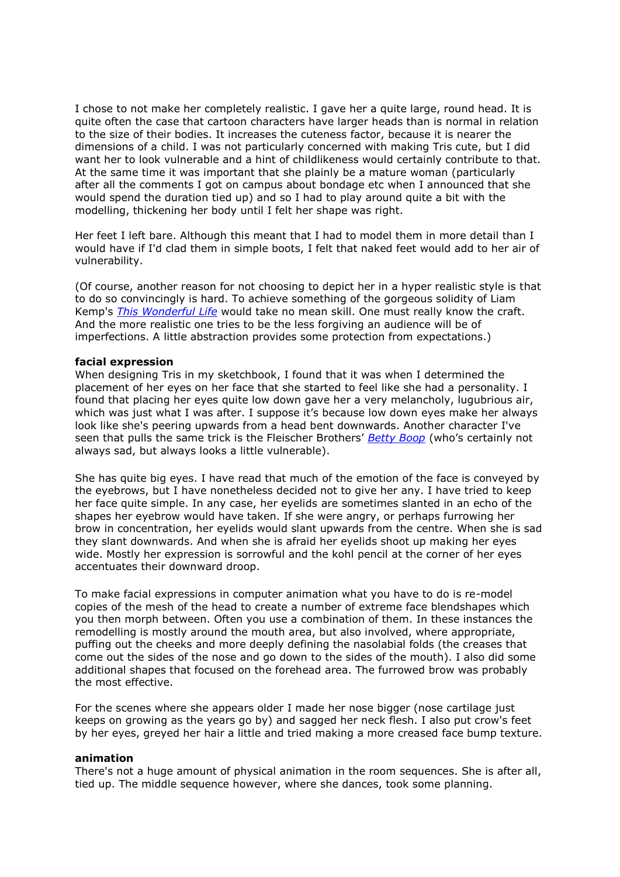I chose to not make her completely realistic. I gave her a quite large, round head. It is quite often the case that cartoon characters have larger heads than is normal in relation to the size of their bodies. It increases the cuteness factor, because it is nearer the dimensions of a child. I was not particularly concerned with making Tris cute, but I did want her to look vulnerable and a hint of childlikeness would certainly contribute to that. At the same time it was important that she plainly be a mature woman (particularly after all the comments I got on campus about bondage etc when I announced that she would spend the duration tied up) and so I had to play around quite a bit with the modelling, thickening her body until I felt her shape was right.

Her feet I left bare. Although this meant that I had to model them in more detail than I would have if I'd clad them in simple boots, I felt that naked feet would add to her air of vulnerability.

(Of course, another reason for not choosing to depict her in a hyper realistic style is that to do so convincingly is hard. To achieve something of the gorgeous solidity of Liam Kemp's *[This Wonderful Life](http://www.this-wonderful-life.com/)* would take no mean skill. One must really know the craft. And the more realistic one tries to be the less forgiving an audience will be of imperfections. A little abstraction provides some protection from expectations.)

# **facial expression**

When designing Tris in my sketchbook, I found that it was when I determined the placement of her eyes on her face that she started to feel like she had a personality. I found that placing her eyes quite low down gave her a very melancholy, lugubrious air, which was just what I was after. I suppose it's because low down eyes make her always look like she's peering upwards from a head bent downwards. Another character I've seen that pulls the same trick is the Fleischer Brothers' *[Betty Boop](http://www.brightlightsfilm.com/16/betty.html)* (who's certainly not always sad, but always looks a little vulnerable).

She has quite big eyes. I have read that much of the emotion of the face is conveyed by the eyebrows, but I have nonetheless decided not to give her any. I have tried to keep her face quite simple. In any case, her eyelids are sometimes slanted in an echo of the shapes her eyebrow would have taken. If she were angry, or perhaps furrowing her brow in concentration, her eyelids would slant upwards from the centre. When she is sad they slant downwards. And when she is afraid her eyelids shoot up making her eyes wide. Mostly her expression is sorrowful and the kohl pencil at the corner of her eyes accentuates their downward droop.

To make facial expressions in computer animation what you have to do is re-model copies of the mesh of the head to create a number of extreme face blendshapes which you then morph between. Often you use a combination of them. In these instances the remodelling is mostly around the mouth area, but also involved, where appropriate, puffing out the cheeks and more deeply defining the nasolabial folds (the creases that come out the sides of the nose and go down to the sides of the mouth). I also did some additional shapes that focused on the forehead area. The furrowed brow was probably the most effective.

For the scenes where she appears older I made her nose bigger (nose cartilage just keeps on growing as the years go by) and sagged her neck flesh. I also put crow's feet by her eyes, greyed her hair a little and tried making a more creased face bump texture.

# **animation**

There's not a huge amount of physical animation in the room sequences. She is after all, tied up. The middle sequence however, where she dances, took some planning.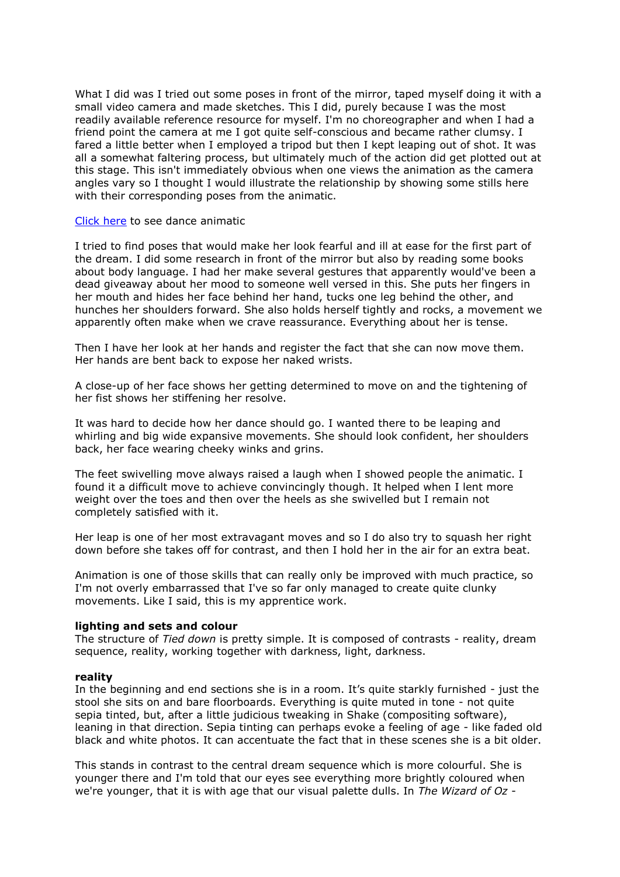What I did was I tried out some poses in front of the mirror, taped myself doing it with a small video camera and made sketches. This I did, purely because I was the most readily available reference resource for myself. I'm no choreographer and when I had a friend point the camera at me I got quite self-conscious and became rather clumsy. I fared a little better when I employed a tripod but then I kept leaping out of shot. It was all a somewhat faltering process, but ultimately much of the action did get plotted out at this stage. This isn't immediately obvious when one views the animation as the camera angles vary so I thought I would illustrate the relationship by showing some stills here with their corresponding poses from the animatic.

#### [Click here](http://www2.brunel.ac.uk/about/acad/sa/artresearch/entertext/issues/entertext4_1/openWindowSwf2%28%27popup_ani02.htm%27%29) to see dance animatic

I tried to find poses that would make her look fearful and ill at ease for the first part of the dream. I did some research in front of the mirror but also by reading some books about body language. I had her make several gestures that apparently would've been a dead giveaway about her mood to someone well versed in this. She puts her fingers in her mouth and hides her face behind her hand, tucks one leg behind the other, and hunches her shoulders forward. She also holds herself tightly and rocks, a movement we apparently often make when we crave reassurance. Everything about her is tense.

Then I have her look at her hands and register the fact that she can now move them. Her hands are bent back to expose her naked wrists.

A close-up of her face shows her getting determined to move on and the tightening of her fist shows her stiffening her resolve.

It was hard to decide how her dance should go. I wanted there to be leaping and whirling and big wide expansive movements. She should look confident, her shoulders back, her face wearing cheeky winks and grins.

The feet swivelling move always raised a laugh when I showed people the animatic. I found it a difficult move to achieve convincingly though. It helped when I lent more weight over the toes and then over the heels as she swivelled but I remain not completely satisfied with it.

Her leap is one of her most extravagant moves and so I do also try to squash her right down before she takes off for contrast, and then I hold her in the air for an extra beat.

Animation is one of those skills that can really only be improved with much practice, so I'm not overly embarrassed that I've so far only managed to create quite clunky movements. Like I said, this is my apprentice work.

#### **lighting and sets and colour**

The structure of *Tied down* is pretty simple. It is composed of contrasts - reality, dream sequence, reality, working together with darkness, light, darkness.

# **reality**

In the beginning and end sections she is in a room. It's quite starkly furnished - just the stool she sits on and bare floorboards. Everything is quite muted in tone - not quite sepia tinted, but, after a little judicious tweaking in Shake (compositing software), leaning in that direction. Sepia tinting can perhaps evoke a feeling of age - like faded old black and white photos. It can accentuate the fact that in these scenes she is a bit older.

This stands in contrast to the central dream sequence which is more colourful. She is younger there and I'm told that our eyes see everything more brightly coloured when we're younger, that it is with age that our visual palette dulls. In *The Wizard of Oz* -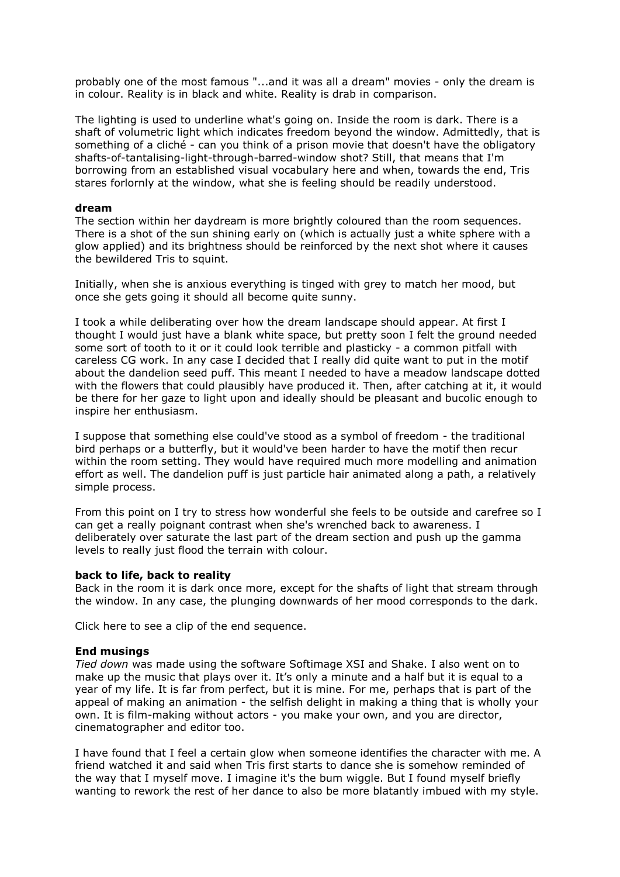probably one of the most famous "...and it was all a dream" movies - only the dream is in colour. Reality is in black and white. Reality is drab in comparison.

The lighting is used to underline what's going on. Inside the room is dark. There is a shaft of volumetric light which indicates freedom beyond the window. Admittedly, that is something of a cliché - can you think of a prison movie that doesn't have the obligatory shafts-of-tantalising-light-through-barred-window shot? Still, that means that I'm borrowing from an established visual vocabulary here and when, towards the end, Tris stares forlornly at the window, what she is feeling should be readily understood.

# **dream**

The section within her daydream is more brightly coloured than the room sequences. There is a shot of the sun shining early on (which is actually just a white sphere with a glow applied) and its brightness should be reinforced by the next shot where it causes the bewildered Tris to squint.

Initially, when she is anxious everything is tinged with grey to match her mood, but once she gets going it should all become quite sunny.

I took a while deliberating over how the dream landscape should appear. At first I thought I would just have a blank white space, but pretty soon I felt the ground needed some sort of tooth to it or it could look terrible and plasticky - a common pitfall with careless CG work. In any case I decided that I really did quite want to put in the motif about the dandelion seed puff. This meant I needed to have a meadow landscape dotted with the flowers that could plausibly have produced it. Then, after catching at it, it would be there for her gaze to light upon and ideally should be pleasant and bucolic enough to inspire her enthusiasm.

I suppose that something else could've stood as a symbol of freedom - the traditional bird perhaps or a butterfly, but it would've been harder to have the motif then recur within the room setting. They would have required much more modelling and animation effort as well. The dandelion puff is just particle hair animated along a path, a relatively simple process.

From this point on I try to stress how wonderful she feels to be outside and carefree so I can get a really poignant contrast when she's wrenched back to awareness. I deliberately over saturate the last part of the dream section and push up the gamma levels to really just flood the terrain with colour.

# **back to life, back to reality**

Back in the room it is dark once more, except for the shafts of light that stream through the window. In any case, the plunging downwards of her mood corresponds to the dark.

Click here to see a clip of the end sequence.

# **End musings**

*Tied down* was made using the software Softimage XSI and Shake. I also went on to make up the music that plays over it. It's only a minute and a half but it is equal to a year of my life. It is far from perfect, but it is mine. For me, perhaps that is part of the appeal of making an animation - the selfish delight in making a thing that is wholly your own. It is film-making without actors - you make your own, and you are director, cinematographer and editor too.

I have found that I feel a certain glow when someone identifies the character with me. A friend watched it and said when Tris first starts to dance she is somehow reminded of the way that I myself move. I imagine it's the bum wiggle. But I found myself briefly wanting to rework the rest of her dance to also be more blatantly imbued with my style.